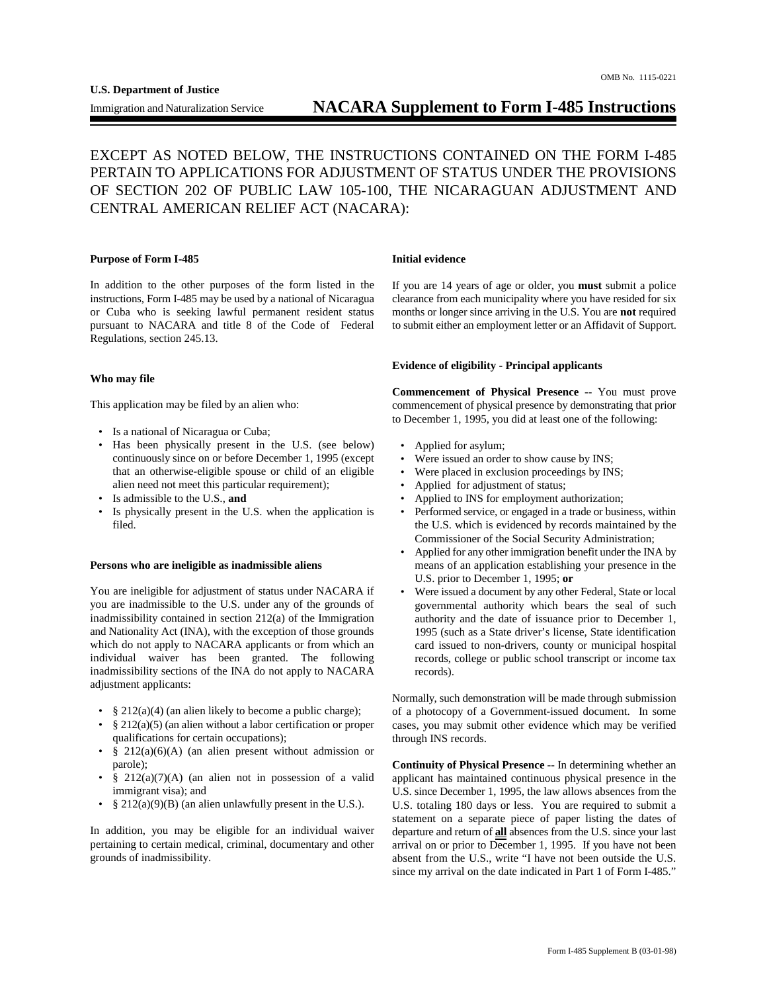# EXCEPT AS NOTED BELOW, THE INSTRUCTIONS CONTAINED ON THE FORM I-485 PERTAIN TO APPLICATIONS FOR ADJUSTMENT OF STATUS UNDER THE PROVISIONS OF SECTION 202 OF PUBLIC LAW 105-100, THE NICARAGUAN ADJUSTMENT AND CENTRAL AMERICAN RELIEF ACT (NACARA):

## **Purpose of Form I-485** Initial evidence

ī

In addition to the other purposes of the form listed in the instructions, Form I-485 may be used by a national of Nicaragua or Cuba who is seeking lawful permanent resident status pursuant to NACARA and title 8 of the Code of Federal Regulations, section 245.13.

## **Who may file**

This application may be filed by an alien who:

- Is a national of Nicaragua or Cuba;
- Has been physically present in the U.S. (see below) continuously since on or before December 1, 1995 (except that an otherwise-eligible spouse or child of an eligible alien need not meet this particular requirement);
- Is admissible to the U.S., **and**
- Is physically present in the U.S. when the application is filed.

### **Persons who are ineligible as inadmissible aliens**

You are ineligible for adjustment of status under NACARA if you are inadmissible to the U.S. under any of the grounds of inadmissibility contained in section 212(a) of the Immigration and Nationality Act (INA), with the exception of those grounds which do not apply to NACARA applicants or from which an individual waiver has been granted. The following inadmissibility sections of the INA do not apply to NACARA adjustment applicants:

- $§ 212(a)(4)$  (an alien likely to become a public charge);
- § 212(a)(5) (an alien without a labor certification or proper qualifications for certain occupations);
- $§$  212(a)(6)(A) (an alien present without admission or parole);
- § 212(a)(7)(A) (an alien not in possession of a valid immigrant visa); and
- $§ 212(a)(9)(B)$  (an alien unlawfully present in the U.S.).

In addition, you may be eligible for an individual waiver pertaining to certain medical, criminal, documentary and other grounds of inadmissibility.

If you are 14 years of age or older, you **must** submit a police clearance from each municipality where you have resided for six months or longer since arriving in the U.S. You are **not** required to submit either an employment letter or an Affidavit of Support.

# **Evidence of eligibility - Principal applicants**

**Commencement of Physical Presence** -- You must prove commencement of physical presence by demonstrating that prior to December 1, 1995, you did at least one of the following:

- Applied for asylum;
- Were issued an order to show cause by INS;
- Were placed in exclusion proceedings by INS;
- Applied for adjustment of status;
- Applied to INS for employment authorization;
- Performed service, or engaged in a trade or business, within the U.S. which is evidenced by records maintained by the Commissioner of the Social Security Administration;
- Applied for any other immigration benefit under the INA by means of an application establishing your presence in the U.S. prior to December 1, 1995; **or**
- Were issued a document by any other Federal, State or local governmental authority which bears the seal of such authority and the date of issuance prior to December 1, 1995 (such as a State driver's license, State identification card issued to non-drivers, county or municipal hospital records, college or public school transcript or income tax records).

Normally, such demonstration will be made through submission of a photocopy of a Government-issued document. In some cases, you may submit other evidence which may be verified through INS records.

**Continuity of Physical Presence** -- In determining whether an applicant has maintained continuous physical presence in the U.S. since December 1, 1995, the law allows absences from the U.S. totaling 180 days or less. You are required to submit a statement on a separate piece of paper listing the dates of departure and return of **all** absences from the U.S. since your last arrival on or prior to December 1, 1995. If you have not been absent from the U.S., write "I have not been outside the U.S. since my arrival on the date indicated in Part 1 of Form I-485."